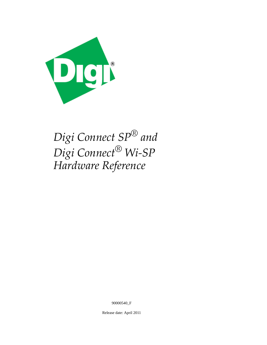

*Digi Connect SP® and Digi Connect® Wi‐SP Hardware Reference*

90000540\_F

Release date: April 2011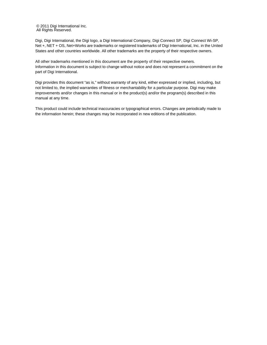© 2011 Digi International Inc. All Rights Reserved.

Digi, Digi International, the Digi logo, a Digi International Company, Digi Connect SP, Digi Connect Wi-SP, Net +, NET + OS, Net+Works are trademarks or registered trademarks of Digi International, Inc. in the United States and other countries worldwide. All other trademarks are the property of their respective owners.

All other trademarks mentioned in this document are the property of their respective owners. Information in this document is subject to change without notice and does not represent a commitment on the part of Digi International.

Digi provides this document "as is," without warranty of any kind, either expressed or implied, including, but not limited to, the implied warranties of fitness or merchantability for a particular purpose. Digi may make improvements and/or changes in this manual or in the product(s) and/or the program(s) described in this manual at any time.

This product could include technical inaccuracies or typographical errors. Changes are periodically made to the information herein; these changes may be incorporated in new editions of the publication.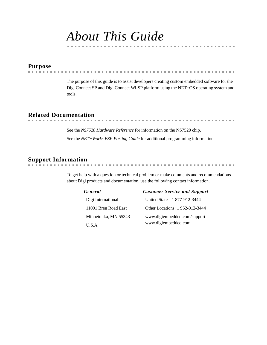## *About This Guide*

## <span id="page-2-0"></span>**Purpose**

The purpose of this guide is to assist developers creating custom embedded software for the Digi Connect SP and Digi Connect Wi-SP platform using the NET+OS operating system and tools.

## <span id="page-2-1"></span>**Related Documentation**

See the *NS7520 Hardware Reference* for information on the NS7520 chip. See the *NET+Works BSP Porting Guide* for additional programming information.

## <span id="page-2-2"></span>**Support Information**

To get help with a question or technical problem or make comments and recommendations about Digi products and documentation, use the following contact information.

| General |  |
|---------|--|
|---------|--|

| General              | <b>Customer Service and Support</b> |
|----------------------|-------------------------------------|
| Digi International   | United States: 1 877-912-3444       |
| 11001 Bren Road East | Other Locations: 1952-912-3444      |
| Minnetonka, MN 55343 | www.digiembedded.com/support        |
| U.S.A.               | www.digiembedded.com                |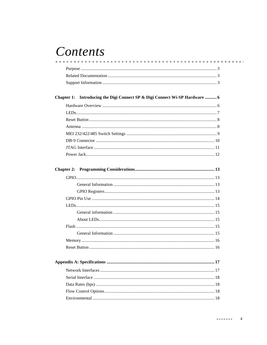# Contents

| Chapter 1: Introducing the Digi Connect SP & Digi Connect Wi-SP Hardware  6 |  |
|-----------------------------------------------------------------------------|--|
|                                                                             |  |
|                                                                             |  |
|                                                                             |  |
|                                                                             |  |
|                                                                             |  |
|                                                                             |  |
|                                                                             |  |
|                                                                             |  |
| <b>Chapter 2:</b>                                                           |  |
|                                                                             |  |
|                                                                             |  |
|                                                                             |  |
|                                                                             |  |
|                                                                             |  |
|                                                                             |  |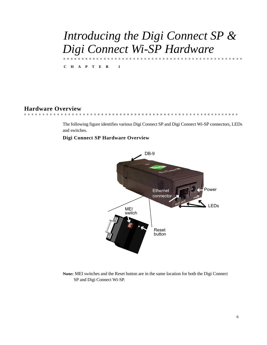# <span id="page-5-0"></span>*Introducing the Digi Connect SP & Digi Connect Wi-SP Hardware*

**CHAPTER 1**

## <span id="page-5-1"></span>**Hardware Overview**

The following figure identifies various Digi Connect SP and Digi Connect Wi-SP connectors, LEDs and switches.

#### **Digi Connect SP Hardware Overview**



**Note:** MEI switches and the Reset button are in the same location for both the Digi Connect SP and Digi Connect Wi-SP.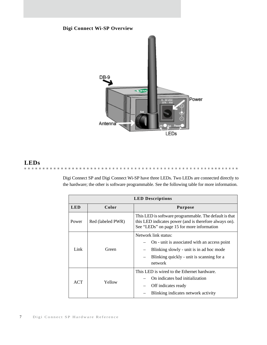## **Digi Connect Wi-SP Overview**



## <span id="page-6-0"></span>**LEDs**

in in

Digi Connect SP and Digi Connect Wi-SP have three LEDs. Two LEDs are connected directly to the hardware; the other is software programmable. See the following table for more information.

 $\mathbf{R}$  ,  $\mathbf{R}$  ,  $\mathbf{R}$  ,  $\mathbf{R}$  ,  $\mathbf{R}$ 

in. **B. B. B.** 

| <b>LED Descriptions</b> |                   |                                                                                                                                                                          |  |  |  |
|-------------------------|-------------------|--------------------------------------------------------------------------------------------------------------------------------------------------------------------------|--|--|--|
| <b>LED</b>              | Color             | <b>Purpose</b>                                                                                                                                                           |  |  |  |
| Power                   | Red (labeled PWR) | This LED is software programmable. The default is that<br>this LED indicates power (and is therefore always on).<br>See "LEDs" on page 15 for more information           |  |  |  |
| Link                    | Green             | Network link status:<br>On - unit is associated with an access point<br>Blinking slowly - unit is in ad hoc mode<br>Blinking quickly - unit is scanning for a<br>network |  |  |  |
| ACT                     | Yellow            | This LED is wired to the Ethernet hardware.<br>On indicates bad initialization<br>Off indicates ready<br>Blinking indicates network activity                             |  |  |  |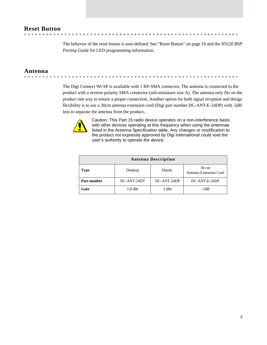## <span id="page-7-2"></span><span id="page-7-0"></span>**Reset Button**

The behavior of the reset button is user-defined. [See "Reset Button" on page 16](#page-15-2) and the *NS520 BSP Porting Guide* for LED programming information.

 $\sim$  $\sim$  $\sim$ 

## <span id="page-7-1"></span>**Antenna**

. . . . . . . . . . 

> The Digi Connect Wi-SP is available with 1 RP-SMA connector. The antenna is connected to the product with a reverse polarity SMA connector (sub-miniature size A). The antenna only fits on the product one way to ensure a proper connection. Another option for both signal reception and design flexibility is to use a 30cm antenna extension cord (Digi part number DC-ANT-E-24DP) with .5dB loss to separate the antenna from the product..



Caution: This Part 15 radio device operates on a non-interference basis with other devices operating at this frequency when using the antennae listed in the Antenna Specification table. Any changes or modification to user's authority to operate the device. the product not expressly approved by Digi International could void the

| <b>Antenna Description</b> |             |             |                                           |  |  |  |
|----------------------------|-------------|-------------|-------------------------------------------|--|--|--|
| <b>Type</b>                | Desktop     | Dipole      | $30 \text{ cm}$<br>Antenna Extension Cord |  |  |  |
| Part number                | DC-ANT-24DT | DC-ANT-24DP | DC-ANT-E-24DP                             |  |  |  |
| Gain                       | $1.8$ dBi   | 2 dBi       | $-.5dB$                                   |  |  |  |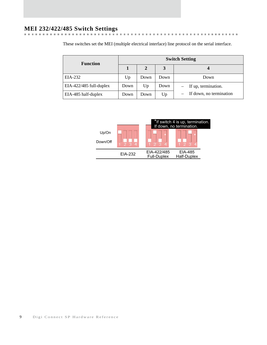# <span id="page-8-0"></span>**MEI 232/422/485 Switch Settings**

These switches set the MEI (multiple electrical interface) line protocol on the serial interface.

| <b>Function</b>           | <b>Switch Setting</b> |      |      |                         |  |  |
|---------------------------|-----------------------|------|------|-------------------------|--|--|
|                           |                       | 2    | 3    |                         |  |  |
| EIA-232                   | Up                    | Down | Down | Down                    |  |  |
| $EIA-422/485$ full-duplex | Down                  | Up   | Down | If up, termination.     |  |  |
| EIA-485 half-duplex       | Down                  | Down | Up   | If down, no termination |  |  |

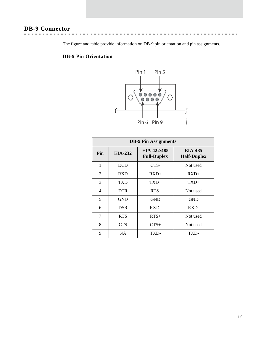## <span id="page-9-0"></span>**DB-9 Connector**

The figure and table provide information on DB-9 pin orientation and pin assignments.

 $\alpha$  $\alpha$  ## **DB-9 Pin Orientation**



| <b>DB-9 Pin Assignments</b> |            |                                   |                                      |  |  |
|-----------------------------|------------|-----------------------------------|--------------------------------------|--|--|
| Pin                         | EIA-232    | EIA-422/485<br><b>Full-Duplex</b> | <b>EIA-485</b><br><b>Half-Duplex</b> |  |  |
| 1                           | <b>DCD</b> | CTS-                              | Not used                             |  |  |
| 2                           | <b>RXD</b> | $RXD+$                            | $RXD+$                               |  |  |
| 3                           | TXD        | $TXD+$                            | $TXD+$                               |  |  |
| 4                           | <b>DTR</b> | RTS-                              | Not used                             |  |  |
| 5                           | <b>GND</b> | <b>GND</b>                        | <b>GND</b>                           |  |  |
| 6                           | <b>DSR</b> | RXD-                              | RXD-                                 |  |  |
| 7                           | <b>RTS</b> | $RTS+$                            | Not used                             |  |  |
| 8                           | <b>CTS</b> | $CTS+$                            | Not used                             |  |  |
| 9                           | <b>NA</b>  | TXD-                              | TXD-                                 |  |  |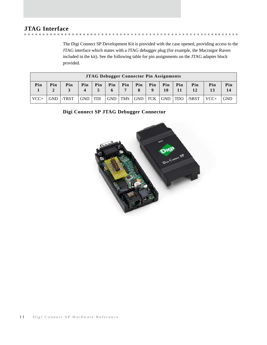## <span id="page-10-0"></span>**JTAG Interface**

 $\mathbb{R}^n$  $\sim$ 

The Digi Connect SP Development Kit is provided with the case opened, providing access to the JTAG interface which mates with a JTAG debugger plug (for example, the Macraigor Raven included in the kit). See the following table for pin assignments on the JTAG adapter block provided.

**. . . . . . . . . . . .** .

|                                                                                                                                                             | <b>JTAG Debugger Connector Pin Assignments</b> |      |            |            |            |            |            |            |            |            |       |        |            |
|-------------------------------------------------------------------------------------------------------------------------------------------------------------|------------------------------------------------|------|------------|------------|------------|------------|------------|------------|------------|------------|-------|--------|------------|
| Pin<br>Pin<br>Pin<br>Pin<br>Pin<br>Pin<br>Pin<br>Pin<br>Pin<br>Pin<br>Pin<br>Pin<br>Pin<br>Pin<br>12<br>13<br>7<br>14<br>$\mathbf{2}$<br>10<br>q<br>11<br>4 |                                                |      |            |            |            |            |            |            |            |            |       |        |            |
| $VCC+$                                                                                                                                                      | <b>GND</b>                                     | TRST | <b>GND</b> | <b>TDI</b> | <b>GND</b> | <b>TMS</b> | <b>GND</b> | <b>TCK</b> | <b>GND</b> | <b>TDO</b> | /SRST | $VCC+$ | <b>GND</b> |

**Digi Connect SP JTAG Debugger Connector**

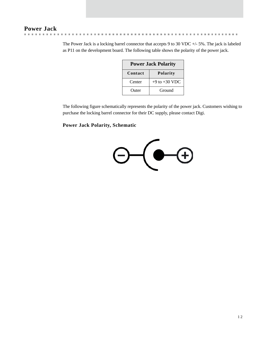## <span id="page-11-0"></span>**Power Jack**

The Power Jack is a locking barrel connector that accepts 9 to 30 VDC +/- 5%. The jack is labeled as P11 on the development board. The following table shows the polarity of the power jack.

**. . . . . . . . . . . .** .

| <b>Power Jack Polarity</b> |                   |  |  |  |
|----------------------------|-------------------|--|--|--|
| Contact                    | <b>Polarity</b>   |  |  |  |
| Center                     | $+9$ to $+30$ VDC |  |  |  |
| Outer                      | Ground            |  |  |  |

The following figure schematically represents the polarity of the power jack. Customers wishing to purchase the locking barrel connector for their DC supply, please contact Digi.

## **Power Jack Polarity, Schematic**

 $\sim$ 

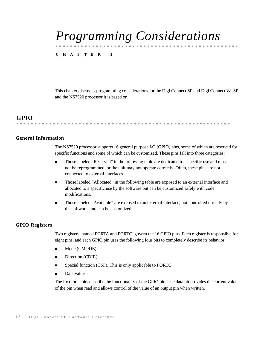# <span id="page-12-0"></span>*Programming Considerations*

**CHAPTER 2**

This chapter discusses programming considerations for the Digi Connect SP and Digi Connect Wi-SP and the NS7520 processor it is based on.

## <span id="page-12-1"></span>**GPIO**

## 

#### <span id="page-12-2"></span>**General Information**

The NS7520 processor supports 16 general purpose I/O (GPIO) pins, some of which are reserved for specific functions and some of which can be customized. These pins fall into three categories:

- **Those labeled "Reserved" in the following table are dedicated to a specific use and must** not be reprogrammed, or the unit may not operate correctly. Often, these pins are not connected to external interfaces.
- **Those labeled "Allocated" in the following table are exposed to an external interface and** allocated to a specific use by the software but can be customized safely with code modifications.
- **Those labeled "Available" are exposed to an external interface, not controlled directly by** the software, and can be customized.

#### <span id="page-12-3"></span>**GPIO Registers**

Two registers, named PORTA and PORTC, govern the 16 GPIO pins. Each register is responsible for eight pins, and each GPIO pin uses the following four bits to completely describe its behavior:

- Mode (CMODE)
- $\blacksquare$  Direction (CDIR)
- **Special function (CSF). This is only applicable to PORTC.**
- Data value

The first three bits describe the functionality of the GPIO pin. The data bit provides the current value of the pin when read and allows control of the value of an output pin when written.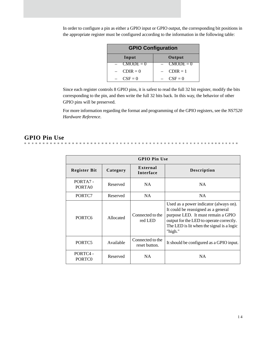| <b>GPIO Configuration</b> |             |  |  |  |
|---------------------------|-------------|--|--|--|
| Input                     | Output      |  |  |  |
| $CMODE = 0$               | $CMODE = 0$ |  |  |  |
| $CDIR = 0$                | $CDIR = 1$  |  |  |  |
| $CSF = 0$                 | $CSF = 0$   |  |  |  |

In order to configure a pin as either a GPIO input or GPIO output, the corresponding bit positions in the appropriate register must be configured according to the information in the following table:

Since each register controls 8 GPIO pins, it is safest to read the full 32 bit register, modify the bits corresponding to the pin, and then write the full 32 bits back. In this way, the behavior of other GPIO pins will be preserved.

For more information regarding the format and programming of the GPIO registers, see the *NS7520 Hardware Reference*.

## <span id="page-13-0"></span>**GPIO Pin Use**

|                               | <b>GPIO Pin Use</b> |                                   |                                                                                                                                                                                                                         |  |  |  |  |  |
|-------------------------------|---------------------|-----------------------------------|-------------------------------------------------------------------------------------------------------------------------------------------------------------------------------------------------------------------------|--|--|--|--|--|
| <b>Register Bit</b>           | Category            | External<br><b>Interface</b>      | <b>Description</b>                                                                                                                                                                                                      |  |  |  |  |  |
| PORTA7-<br>PORTA0             | Reserved            | NA.                               | NA.                                                                                                                                                                                                                     |  |  |  |  |  |
| PORTC7                        | Reserved            | NA.                               | NA.                                                                                                                                                                                                                     |  |  |  |  |  |
| PORTC <sub>6</sub>            | Allocated           | Connected to the<br>red LED       | Used as a power indicator (always on).<br>It could be reassigned as a general<br>purpose LED. It must remain a GPIO<br>output for the LED to operate correctly.<br>The LED is lit when the signal is a logic<br>"high." |  |  |  |  |  |
| PORTC <sub>5</sub>            | Available           | Connected to the<br>reset button. | It should be configured as a GPIO input.                                                                                                                                                                                |  |  |  |  |  |
| PORTC4-<br>PORTC <sub>0</sub> | Reserved            | NA                                | NA                                                                                                                                                                                                                      |  |  |  |  |  |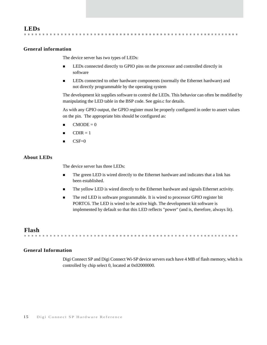### <span id="page-14-5"></span><span id="page-14-1"></span><span id="page-14-0"></span>**General information**

The device server has two types of LEDs:

. . . . . . . . . . . . . . . .

- **EDs** connected directly to GPIO pins on the processor and controlled directly in software
- LEDs connected to other hardware components (normally the Ethernet hardware) and not directly programmable by the operating system

The development kit supplies software to control the LEDs. This behavior can often be modified by manipulating the LED table in the BSP code. See gpio.c for details.

**CONTRACTOR** 

As with any GPIO output, the GPIO register must be properly configured in order to assert values on the pin. The appropriate bits should be configured as:

- $CMODE = 0$
- $CDIR = 1$
- $CSF=0$

#### <span id="page-14-2"></span>**About LEDs**

The device server has three LEDs:

- The green LED is wired directly to the Ethernet hardware and indicates that a link has been established.
- The yellow LED is wired directly to the Ethernet hardware and signals Ethernet activity.
- The red LED is software programmable. It is wired to processor GPIO register bit PORTC6. The LED is wired to be active high. The development kit software is implemented by default so that this LED reflects "power" (and is, therefore, always lit).

<span id="page-14-3"></span>**Flash** 

### <span id="page-14-4"></span>**General Information**

Digi Connect SP and Digi Connect Wi-SP device servers each have 4 MB of flash memory, which is controlled by chip select 0, located at 0x02000000.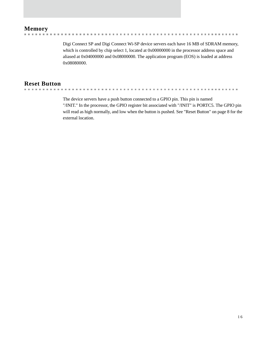## <span id="page-15-0"></span>**Memory**

 $\mathbb{R}^d$ 

 $\sim$ 

Digi Connect SP and Digi Connect Wi-SP device servers each have 16 MB of SDRAM memory, which is controlled by chip select 1, located at 0x00000000 in the processor address space and aliased at 0x04000000 and 0x08000000. The application program (EOS) is loaded at address 0x08080000.

<span id="page-15-2"></span><span id="page-15-1"></span>**Reset Button**

The device servers have a push button connected to a GPIO pin. This pin is named "/INIT." In the processor, the GPIO register bit associated with "/INIT" is PORTC5. The GPIO pin will read as high normally, and low when the button is pushed. See ["Reset Button" on page 8](#page-7-2) for the external location.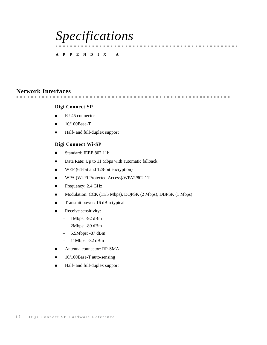# <span id="page-16-0"></span>*Specifications*

### **APPENDIX A**

## <span id="page-16-1"></span>**Network Interfaces**

### **Digi Connect SP**

- $\blacksquare$  RJ-45 connector
- $10/100$ Base-T
- Half- and full-duplex support

### **Digi Connect Wi-SP**

- Standard: IEEE 802.11b
- Data Rate: Up to 11 Mbps with automatic fallback
- WEP (64-bit and 128-bit encryption)
- WPA (Wi-Fi Protected Access)/WPA2/802.11i
- $\blacksquare$  Frequency: 2.4 GHz
- Modulation: CCK (11/5 Mbps), DQPSK (2 Mbps), DBPSK (1 Mbps)
- Transmit power: 16 dBm typical
- Receive sensitivity:
	- 1Mbps: -92 dBm
	- 2Mbps: -89 dBm
	- 5.5Mbps: -87 dBm
	- 11Mbps: -82 dBm
- Antenna connector: RP-SMA
- $\blacksquare$  10/100Base-T auto-sensing
- Half- and full-duplex support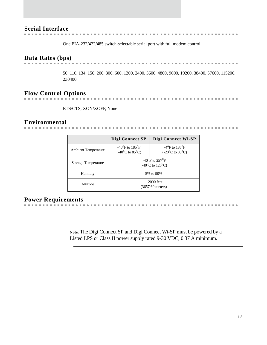## <span id="page-17-0"></span>**Serial Interface**

One EIA-232/422/485 switch-selectable serial port with full modem control.

## <span id="page-17-1"></span>**Data Rates (bps)**

. . . . . . . . . . . . . . .

> 50, 110, 134, 150, 200, 300, 600, 1200, 2400, 3600, 4800, 9600, 19200, 38400, 57600, 115200, 230400

<span id="page-17-2"></span>**Flow Control Options**

RTS/CTS, XON/XOFF, None

**CONTRACTOR** 

## <span id="page-17-3"></span>**Environmental**

|                            | Digi Connect SP                                                                | Digi Connect Wi-SP                                                                    |
|----------------------------|--------------------------------------------------------------------------------|---------------------------------------------------------------------------------------|
| <b>Ambient Temperature</b> | $-40^{\circ}$ F to $185^{\circ}$ F<br>$(-40^{\circ}C \text{ to } 85^{\circ}C)$ | $-4$ <sup>o</sup> F to 185 <sup>o</sup> F<br>$(-20^{\circ}C \text{ to } 85^{\circ}C)$ |
| <b>Storage Temperature</b> | $-40^{0}$ F to 257 <sup>0</sup> F<br>$(-40^0C \text{ to } 125^0C)$             |                                                                                       |
| Humidty                    | 5% to 90%                                                                      |                                                                                       |
| Altitude                   | 12000 feet<br>$(3657.60$ meters)                                               |                                                                                       |

## <span id="page-17-4"></span>**Power Requirements**

**Note:** The Digi Connect SP and Digi Connect Wi-SP must be powered by a Listed LPS or Class II power supply rated 9-30 VDC, 0.37 A minimum.

. . . . . . . . . . . . . . . .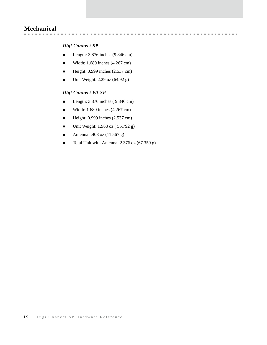## <span id="page-18-0"></span>**Mechanical**

### *Digi Connect SP*

Length:  $3.876$  inches  $(9.846 \text{ cm})$ 

- Width:  $1.680$  inches  $(4.267 \text{ cm})$
- $\blacksquare$  Height: 0.999 inches (2.537 cm)
- $\blacksquare$  Unit Weight: 2.29 oz (64.92 g)

#### *Digi Connect Wi-SP*

- Length:  $3.876$  inches ( $9.846$  cm)
- Width: 1.680 inches  $(4.267 \text{ cm})$
- $\blacksquare$  Height: 0.999 inches (2.537 cm)
- **Unit Weight:**  $1.968$  oz ( $55.792$  g)
- Antenna: .408 oz (11.567 g)
- Total Unit with Antenna: 2.376 oz (67.359 g)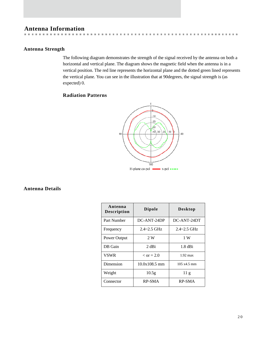## <span id="page-19-0"></span>**Antenna Information**

## <span id="page-19-1"></span>**Antenna Strength**

The following diagram demonstrates the strength of the signal received by the antenna on both a horizontal and vertical plane. The diagram shows the magnetic field when the antenna is in a vertical position. The red line represents the horizontal plane and the dotted green lined represents the vertical plane. You can see in the illustration that at 90degrees, the signal strength is (as expected) 0.

. . . . . . . . . . . .

 $\sim$  $\sim$ 

#### **Radiation Patterns**

**CONTRACTOR** 



<span id="page-19-2"></span>**Antenna Details**

| Antenna<br><b>Description</b> | <b>Dipole</b>       | <b>Desktop</b>     |
|-------------------------------|---------------------|--------------------|
| Part Number                   | DC-ANT-24DP         | DC-ANT-24DT        |
| Frequency                     | $2.4 - 2.5$ GHz     | $2.4 - 2.5$ GHz    |
| Power Output                  | 2 W                 | 1 W                |
| DB Gain                       | 2 dBi               | $1.8$ dBi          |
| VSWR                          | $\epsilon$ or = 2.0 | $1.92 \text{ max}$ |
| Dimension                     | $10.0x108.5$ mm     | 105x4.5mm          |
| Weight                        | 10.5 <sub>g</sub>   | 11g                |
| Connector                     | <b>RP-SMA</b>       | RP-SMA             |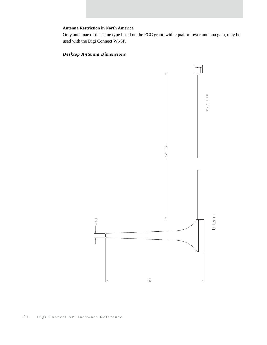#### **Antenna Restriction in North America**

Only antennae of the same type listed on the FCC grant, with equal or lower antenna gain, may be used with the Digi Connect Wi-SP.

## *Desktop Antenna Dimensions*

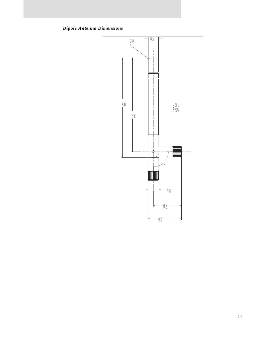*Dipole Antenna Dimensions*

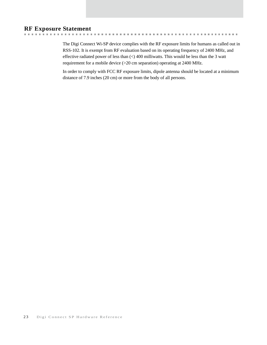## <span id="page-22-0"></span>**RF Exposure Statement**

The Digi Connect Wi-SP device complies with the RF exposure limits for humans as called out in RSS-102. It is exempt from RF evaluation based on its operating frequency of 2400 MHz, and effective radiated power of less than (<) 400 milliwatts. This would be less than the 3 watt requirement for a mobile device (>20 cm separation) operating at 2400 MHz.

. . . . . . . . . . .

In order to comply with FCC RF exposure limits, dipole antenna should be located at a minimum distance of 7.9 inches (20 cm) or more from the body of all persons.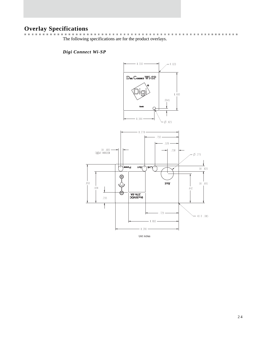<span id="page-23-0"></span>**Overlay Specifications** The following specifications are for the product overlays.

*Digi Connect Wi-SP*

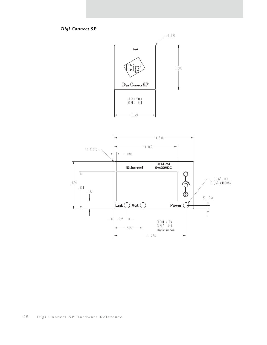*Digi Connect SP*

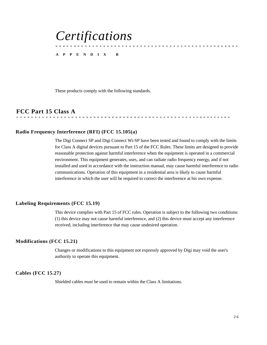# <span id="page-25-0"></span>*Certifications*

#### **APPENDIX B**

These products comply with the following standards.

<span id="page-25-1"></span>**FCC Part 15 Class A** 

## <span id="page-25-2"></span>**Radio Frequency Interference (RFI) (FCC 15.105(a)**

The Digi Connect SP and Digi Connect Wi-SP have been tested and found to comply with the limits for Class A digital devices pursuant to Part 15 of the FCC Rules. These limits are designed to provide reasonable protection against harmful interference when the equipment is operated in a commercial environment. This equipment generates, uses, and can radiate radio frequency energy, and if not installed and used in accordance with the instruction manual, may cause harmful interference to radio communications. Operation of this equipment in a residential area is likely to cause harmful interference in which the user will be required to correct the interference at his own expense.

#### <span id="page-25-3"></span>**Labeling Requirements (FCC 15.19)**

This device complies with Part 15 of FCC rules. Operation is subject to the following two conditions: (1) this device may not cause harmful interference, and (2) this device must accept any interference received, including interference that may cause undesired operation.

#### <span id="page-25-4"></span>**Modifications (FCC 15.21)**

Changes or modifications to this equipment not expressly approved by Digi may void the user's authority to operate this equipment.

#### <span id="page-25-5"></span>**Cables (FCC 15.27)**

Shielded cables *must* be used to remain within the Class A limitations.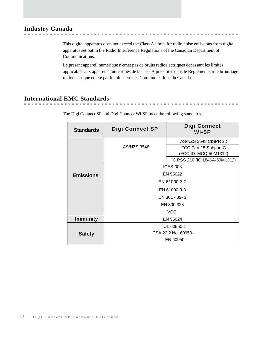## <span id="page-26-0"></span>**Industry Canada**

This digital apparatus does not exceed the Class A limits for radio noise emissions from digital apparatus set out in the Radio Interference Regulations of the Canadian Department of Communications.

. . . . . . . . . . . .

*A B B A B A B A* 

**. . . . . . . . . . . . .** .

**COLLECT** 

Le present appareil numerique n'emet pas de bruits radioelectriques depassant les limites applicables aux appareils numeriques de la class A prescrites dans le Reglement sur le brouillage radioelectrique edicte par le ministere des Communications du Canada.

## <span id="page-26-1"></span>**International EMC Standards**

 $\mathbf{m}=\mathbf{m}$ 

**COLLECT** 

| <b>Standards</b> | <b>Digi Connect SP</b> | Digi Connect<br>Wi-SP                          |  |
|------------------|------------------------|------------------------------------------------|--|
| <b>Emissions</b> | <b>AS/NZS 3548</b>     | <b>AS/NZS 3548 CISPR 22</b>                    |  |
|                  |                        | FCC Part 15 Subpart C<br>(FCC ID: MCQ-50M1312) |  |
|                  |                        | IC RSS 210 (IC:1846A-50M1312)                  |  |
|                  | <b>ICES-003</b>        |                                                |  |
|                  | EN 55022               |                                                |  |
|                  | EN 61000-3-2           |                                                |  |
|                  | EN 61000-3-3           |                                                |  |
|                  | EN 301 489-3           |                                                |  |
|                  | EN 300 328             |                                                |  |
|                  | <b>VCCI</b>            |                                                |  |
| <b>Immunity</b>  | EN 55024               |                                                |  |
| <b>Safety</b>    | UL 60950-1             |                                                |  |
|                  | CSA 22.2 No. 60950--1  |                                                |  |
|                  | EN 60950               |                                                |  |

The Digi Connect SP and Digi Connect Wi-SP meet the following standards.

. . . . . . . .